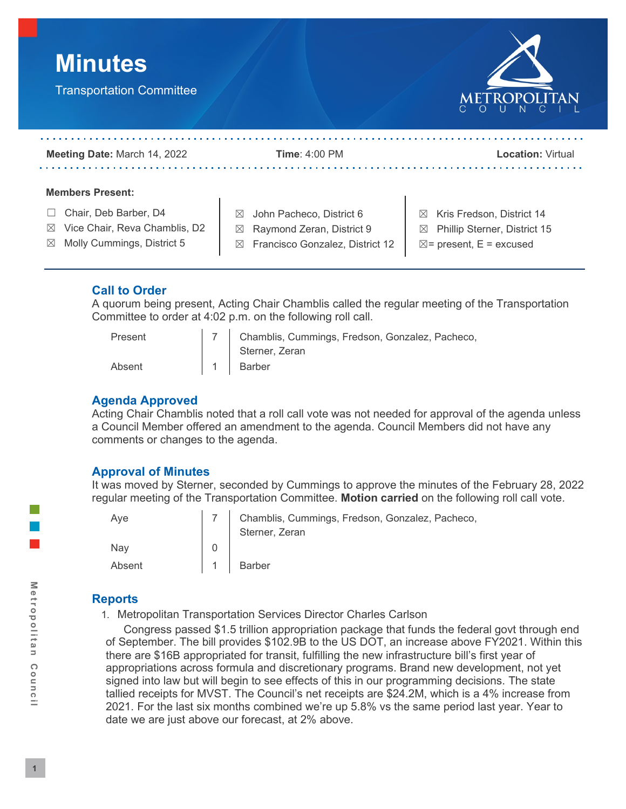

Transportation Committee



**Meeting Date:** March 14, 2022 **Time**: 4:00 PM **Location:** Virtual **Members Present:** ☐ Chair, Deb Barber, D4 ☒ John Pacheco, District 6 ☒ Kris Fredson, District 14

- ☒ Vice Chair, Reva Chamblis, D2
- $\boxtimes$  Molly Cummings, District 5
- ☒ Raymond Zeran, District 9
- ☒ Francisco Gonzalez, District 12
- ☒ Phillip Sterner, District 15
- $\boxtimes$  = present, E = excused

# **Call to Order**

A quorum being present, Acting Chair Chamblis called the regular meeting of the Transportation Committee to order at 4:02 p.m. on the following roll call.

| Present | 7 Chamblis, Cummings, Fredson, Gonzalez, Pacheco,<br>  Sterner, Zeran |
|---------|-----------------------------------------------------------------------|
| Absent  | 1 Barber                                                              |

# **Agenda Approved**

Acting Chair Chamblis noted that a roll call vote was not needed for approval of the agenda unless a Council Member offered an amendment to the agenda. Council Members did not have any comments or changes to the agenda.

# **Approval of Minutes**

It was moved by Sterner, seconded by Cummings to approve the minutes of the February 28, 2022 regular meeting of the Transportation Committee. **Motion carried** on the following roll call vote.

| Aye    | 7   Chamblis, Cummings, Fredson, Gonzalez, Pacheco,<br>Sterner, Zeran |
|--------|-----------------------------------------------------------------------|
| Nay    |                                                                       |
| Absent | 1 Barber                                                              |

# **Reports**

1. Metropolitan Transportation Services Director Charles Carlson

Congress passed \$1.5 trillion appropriation package that funds the federal govt through end of September. The bill provides \$102.9B to the US DOT, an increase above FY2021. Within this there are \$16B appropriated for transit, fulfilling the new infrastructure bill's first year of appropriations across formula and discretionary programs. Brand new development, not yet signed into law but will begin to see effects of this in our programming decisions. The state tallied receipts for MVST. The Council's net receipts are \$24.2M, which is a 4% increase from 2021. For the last six months combined we're up 5.8% vs the same period last year. Year to date we are just above our forecast, at 2% above.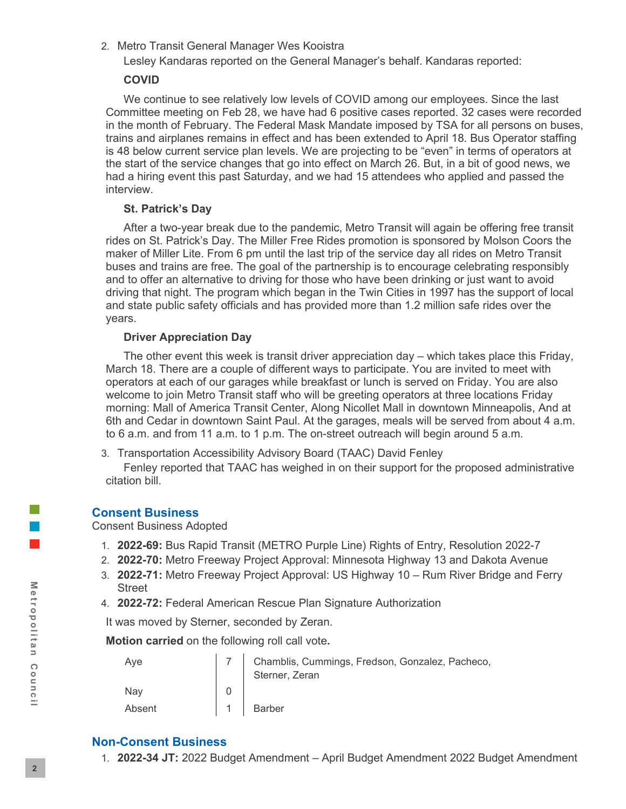2. Metro Transit General Manager Wes Kooistra

Lesley Kandaras reported on the General Manager's behalf. Kandaras reported:

#### **COVID**

We continue to see relatively low levels of COVID among our employees. Since the last Committee meeting on Feb 28, we have had 6 positive cases reported. 32 cases were recorded in the month of February. The Federal Mask Mandate imposed by TSA for all persons on buses, trains and airplanes remains in effect and has been extended to April 18. Bus Operator staffing is 48 below current service plan levels. We are projecting to be "even" in terms of operators at the start of the service changes that go into effect on March 26. But, in a bit of good news, we had a hiring event this past Saturday, and we had 15 attendees who applied and passed the interview.

### **St. Patrick's Day**

After a two-year break due to the pandemic, Metro Transit will again be offering free transit rides on St. Patrick's Day. The Miller Free Rides promotion is sponsored by Molson Coors the maker of Miller Lite. From 6 pm until the last trip of the service day all rides on Metro Transit buses and trains are free. The goal of the partnership is to encourage celebrating responsibly and to offer an alternative to driving for those who have been drinking or just want to avoid driving that night. The program which began in the Twin Cities in 1997 has the support of local and state public safety officials and has provided more than 1.2 million safe rides over the years.

### **Driver Appreciation Day**

The other event this week is transit driver appreciation day – which takes place this Friday, March 18. There are a couple of different ways to participate. You are invited to meet with operators at each of our garages while breakfast or lunch is served on Friday. You are also welcome to join Metro Transit staff who will be greeting operators at three locations Friday morning: Mall of America Transit Center, Along Nicollet Mall in downtown Minneapolis, And at 6th and Cedar in downtown Saint Paul. At the garages, meals will be served from about 4 a.m. to 6 a.m. and from 11 a.m. to 1 p.m. The on-street outreach will begin around 5 a.m.

3. Transportation Accessibility Advisory Board (TAAC) David Fenley

Fenley reported that TAAC has weighed in on their support for the proposed administrative citation bill.

### **Consent Business**

Consent Business Adopted

- 1. **2022-69:** Bus Rapid Transit (METRO Purple Line) Rights of Entry, Resolution 2022-7
- 2. **2022-70:** Metro Freeway Project Approval: Minnesota Highway 13 and Dakota Avenue
- 3. **2022-71:** Metro Freeway Project Approval: US Highway 10 Rum River Bridge and Ferry Street
- 4. **2022-72:** Federal American Rescue Plan Signature Authorization

It was moved by Sterner, seconded by Zeran.

**Motion carried** on the following roll call vote**.**

| Ave    | 7   Chamblis, Cummings, Fredson, Gonzalez, Pacheco,<br>Sterner, Zeran |
|--------|-----------------------------------------------------------------------|
| Nay    |                                                                       |
| Absent | 1 Barber                                                              |

# **Non-Consent Business**

1. **2022-34 JT:** 2022 Budget Amendment – April Budget Amendment 2022 Budget Amendment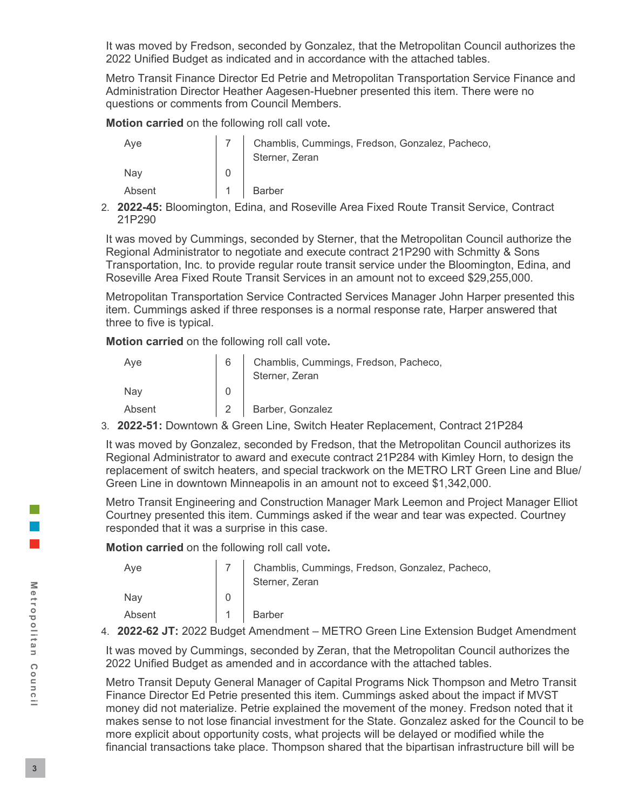It was moved by Fredson, seconded by Gonzalez, that the Metropolitan Council authorizes the 2022 Unified Budget as indicated and in accordance with the attached tables.

Metro Transit Finance Director Ed Petrie and Metropolitan Transportation Service Finance and Administration Director Heather Aagesen-Huebner presented this item. There were no questions or comments from Council Members.

**Motion carried** on the following roll call vote**.**

| Ave    | Chamblis, Cummings, Fredson, Gonzalez, Pacheco,<br>Sterner, Zeran |
|--------|-------------------------------------------------------------------|
| Nay    |                                                                   |
| Absent | 1 Barber                                                          |

2. **2022-45:** Bloomington, Edina, and Roseville Area Fixed Route Transit Service, Contract 21P290

It was moved by Cummings, seconded by Sterner, that the Metropolitan Council authorize the Regional Administrator to negotiate and execute contract 21P290 with Schmitty & Sons Transportation, Inc. to provide regular route transit service under the Bloomington, Edina, and Roseville Area Fixed Route Transit Services in an amount not to exceed \$29,255,000.

Metropolitan Transportation Service Contracted Services Manager John Harper presented this item. Cummings asked if three responses is a normal response rate, Harper answered that three to five is typical.

**Motion carried** on the following roll call vote**.**

| Aye    | Chamblis, Cummings, Fredson, Pacheco,<br>Sterner, Zeran |
|--------|---------------------------------------------------------|
| Nay    |                                                         |
| Absent | 2 Barber, Gonzalez                                      |

3. **2022-51:** Downtown & Green Line, Switch Heater Replacement, Contract 21P284

It was moved by Gonzalez, seconded by Fredson, that the Metropolitan Council authorizes its Regional Administrator to award and execute contract 21P284 with Kimley Horn, to design the replacement of switch heaters, and special trackwork on the METRO LRT Green Line and Blue/ Green Line in downtown Minneapolis in an amount not to exceed \$1,342,000.

Metro Transit Engineering and Construction Manager Mark Leemon and Project Manager Elliot Courtney presented this item. Cummings asked if the wear and tear was expected. Courtney responded that it was a surprise in this case.

**Motion carried** on the following roll call vote**.**

| Ave    | Chamblis, Cummings, Fredson, Gonzalez, Pacheco,<br>Sterner, Zeran |
|--------|-------------------------------------------------------------------|
| Nay    |                                                                   |
| Absent | 1 Barber                                                          |

4. **2022-62 JT:** 2022 Budget Amendment – METRO Green Line Extension Budget Amendment

It was moved by Cummings, seconded by Zeran, that the Metropolitan Council authorizes the 2022 Unified Budget as amended and in accordance with the attached tables.

Metro Transit Deputy General Manager of Capital Programs Nick Thompson and Metro Transit Finance Director Ed Petrie presented this item. Cummings asked about the impact if MVST money did not materialize. Petrie explained the movement of the money. Fredson noted that it makes sense to not lose financial investment for the State. Gonzalez asked for the Council to be more explicit about opportunity costs, what projects will be delayed or modified while the financial transactions take place. Thompson shared that the bipartisan infrastructure bill will be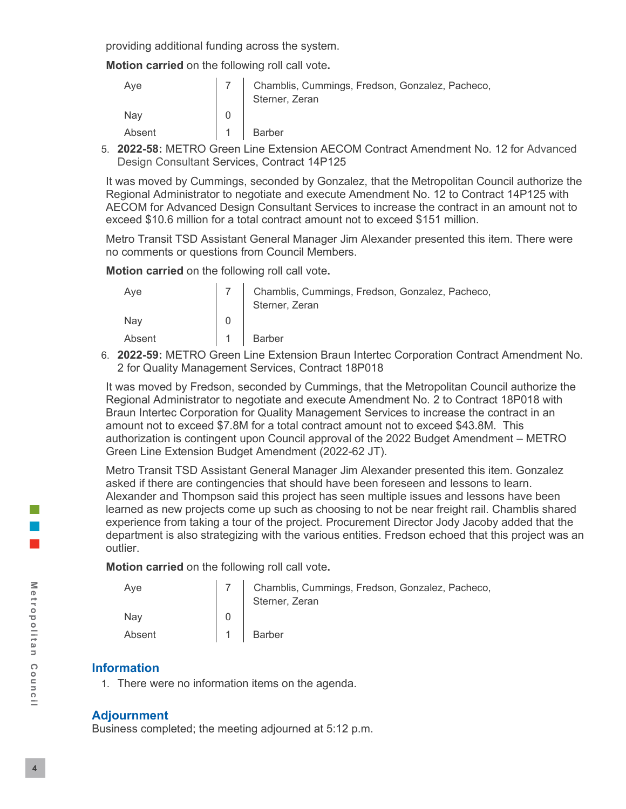providing additional funding across the system.

**Motion carried** on the following roll call vote**.**

| Ave    | Chamblis, Cummings, Fredson, Gonzalez, Pacheco,<br>Sterner, Zeran |
|--------|-------------------------------------------------------------------|
| Nay    |                                                                   |
| Absent | <b>Barber</b>                                                     |

5. **2022-58:** METRO Green Line Extension AECOM Contract Amendment No. 12 for Advanced Design Consultant Services, Contract 14P125

It was moved by Cummings, seconded by Gonzalez, that the Metropolitan Council authorize the Regional Administrator to negotiate and execute Amendment No. 12 to Contract 14P125 with AECOM for Advanced Design Consultant Services to increase the contract in an amount not to exceed \$10.6 million for a total contract amount not to exceed \$151 million.

Metro Transit TSD Assistant General Manager Jim Alexander presented this item. There were no comments or questions from Council Members.

**Motion carried** on the following roll call vote**.**

| Aye    | Chamblis, Cummings, Fredson, Gonzalez, Pacheco,<br>Sterner, Zeran |
|--------|-------------------------------------------------------------------|
| Nay    |                                                                   |
| Absent | 1 Barber                                                          |

6. **2022-59:** METRO Green Line Extension Braun Intertec Corporation Contract Amendment No. 2 for Quality Management Services, Contract 18P018

It was moved by Fredson, seconded by Cummings, that the Metropolitan Council authorize the Regional Administrator to negotiate and execute Amendment No. 2 to Contract 18P018 with Braun Intertec Corporation for Quality Management Services to increase the contract in an amount not to exceed \$7.8M for a total contract amount not to exceed \$43.8M. This authorization is contingent upon Council approval of the 2022 Budget Amendment – METRO Green Line Extension Budget Amendment (2022-62 JT).

Metro Transit TSD Assistant General Manager Jim Alexander presented this item. Gonzalez asked if there are contingencies that should have been foreseen and lessons to learn. Alexander and Thompson said this project has seen multiple issues and lessons have been learned as new projects come up such as choosing to not be near freight rail. Chamblis shared experience from taking a tour of the project. Procurement Director Jody Jacoby added that the department is also strategizing with the various entities. Fredson echoed that this project was an outlier.

**Motion carried** on the following roll call vote**.**

| Ave    | Chamblis, Cummings, Fredson, Gonzalez, Pacheco,<br>Sterner, Zeran |
|--------|-------------------------------------------------------------------|
| Nay    |                                                                   |
| Absent | 1 Barber                                                          |

### **Information**

1. There were no information items on the agenda.

# **Adjournment**

Business completed; the meeting adjourned at 5:12 p.m.